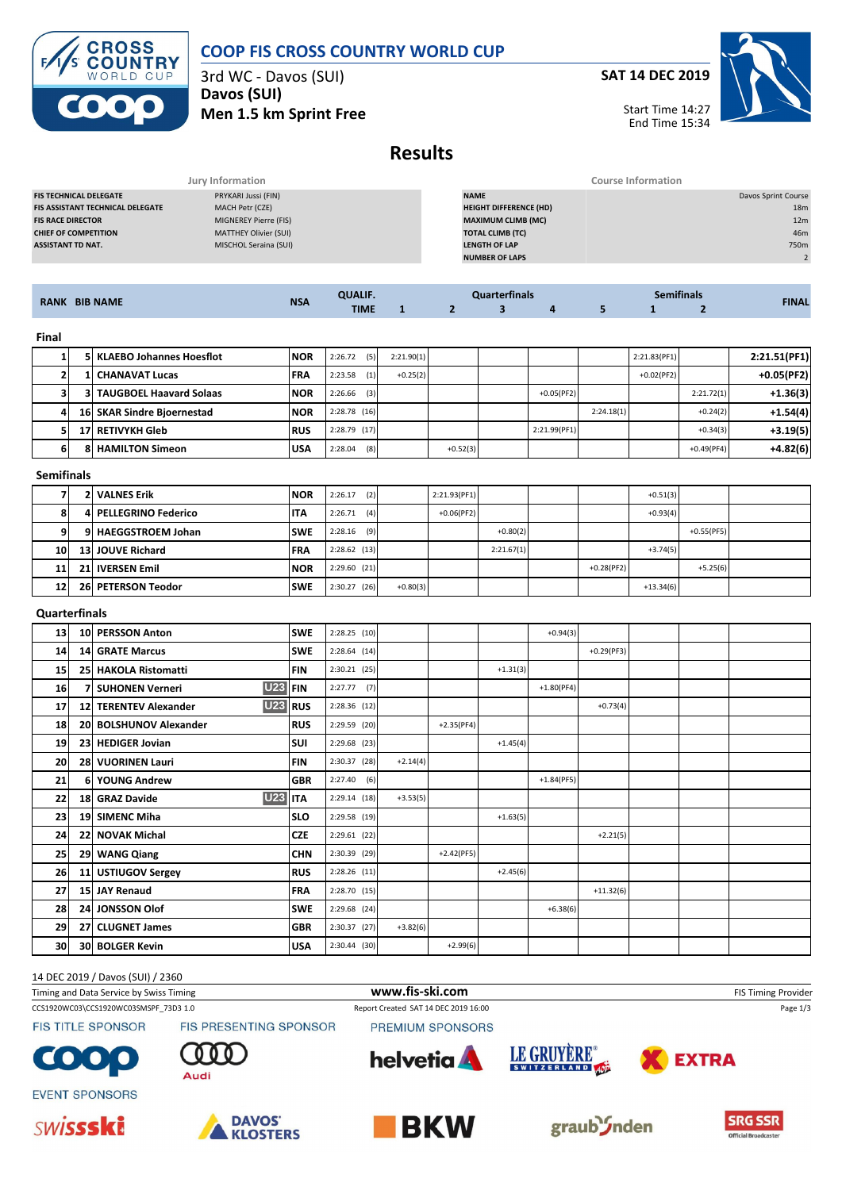

# **COOP FIS CROSS COUNTRY WORLD CUP**

3rd WC - Davos (SUI) **Davos (SUI) Men 1.5 km Sprint Free** **SAT 14 DEC 2019**



Start Time 14:27 End Time 15:34

# **Results**

|                                         | Jury Information      | <b>Course Information</b>     |                     |
|-----------------------------------------|-----------------------|-------------------------------|---------------------|
| <b>FIS TECHNICAL DELEGATE</b>           | PRYKARI Jussi (FIN)   | <b>NAME</b>                   | Davos Sprint Course |
| <b>FIS ASSISTANT TECHNICAL DELEGATE</b> | MACH Petr (CZE)       | <b>HEIGHT DIFFERENCE (HD)</b> | 18m                 |
| <b>FIS RACE DIRECTOR</b>                | MIGNEREY Pierre (FIS) | <b>MAXIMUM CLIMB (MC)</b>     | 12m                 |
| <b>CHIEF OF COMPETITION</b>             | MATTHEY Olivier (SUI) | <b>TOTAL CLIMB (TC)</b>       | 46m                 |
| <b>ASSISTANT TD NAT.</b>                | MISCHOL Seraina (SUI) | <b>LENGTH OF LAP</b>          | 750m                |
|                                         |                       | <b>NUMBER OF LAPS</b>         |                     |
|                                         |                       |                               |                     |

| <b>RANK BIB NAME</b> |    | <b>NSA</b>                     | <b>QUALIF.</b> |                | <b>Quarterfinals</b> |            |   |              | <b>Semifinals</b> | <b>FINAL</b>  |              |              |
|----------------------|----|--------------------------------|----------------|----------------|----------------------|------------|---|--------------|-------------------|---------------|--------------|--------------|
|                      |    |                                |                | <b>TIME</b>    |                      |            | з | 4            | 5                 |               |              |              |
| Final                |    |                                |                |                |                      |            |   |              |                   |               |              |              |
|                      |    | 5 KLAEBO Johannes Hoesflot     | <b>NOR</b>     | 2:26.72<br>(5) | 2:21.90(1)           |            |   |              |                   | 2:21.83(PF1)  |              | 2:21.51(PF1) |
| 2                    |    | <b>CHANAVAT Lucas</b>          | <b>FRA</b>     | 2:23.58<br>(1) | $+0.25(2)$           |            |   |              |                   | $+0.02$ (PF2) |              | $+0.05(PF2)$ |
| 3                    | 31 | <b>TAUGBOEL Haavard Solaas</b> | <b>NOR</b>     | 2:26.66<br>(3) |                      |            |   | $+0.05(PF2)$ |                   |               | 2:21.72(1)   | $+1.36(3)$   |
| 4                    |    | 16 SKAR Sindre Bioernestad     | <b>NOR</b>     | $2:28.78$ (16) |                      |            |   |              | 2:24.18(1)        |               | $+0.24(2)$   | $+1.54(4)$   |
| 5                    |    | 17 RETIVYKH Gleb               | <b>RUS</b>     | $2:28.79$ (17) |                      |            |   | 2:21.99(PF1) |                   |               | $+0.34(3)$   | $+3.19(5)$   |
| 6                    | ន  | <b>HAMILTON Simeon</b>         | <b>USA</b>     | 2:28.04<br>(8) |                      | $+0.52(3)$ |   |              |                   |               | $+0.49(PF4)$ | $+4.82(6)$   |

#### **Semifinals**

|                 | <b>2 VALNES Erik</b>  | <b>NOR</b> | (2)<br>2:26.17 |            | 2:21.93(PF1) |            |              | $+0.51(3)$  |              |  |
|-----------------|-----------------------|------------|----------------|------------|--------------|------------|--------------|-------------|--------------|--|
| 8               | 4 PELLEGRINO Federico | <b>ITA</b> | (4)<br>2:26.71 |            | $+0.06(PF2)$ |            |              | $+0.93(4)$  |              |  |
|                 | 9 HAEGGSTROEM Johan   | <b>SWE</b> | $2:28.16$ (9)  |            |              | $+0.80(2)$ |              |             | $+0.55(PF5)$ |  |
| 10 <sup>1</sup> | 13 JOUVE Richard      | <b>FRA</b> | $2:28.62$ (13) |            |              | 2:21.67(1) |              | $+3.74(5)$  |              |  |
| 11              | 21 IVERSEN Emil       | <b>NOR</b> | $2:29.60$ (21) |            |              |            | $+0.28(PF2)$ |             | $+5.25(6)$   |  |
| 12              | 26 PETERSON Teodor    | <b>SWE</b> | $2:30.27$ (26) | $+0.80(3)$ |              |            |              | $+13.34(6)$ |              |  |

### **Quarterfinals**

| 13 | 10 PERSSON Anton                    | <b>SWE</b> | $2:28.25$ (10) |            |              |            | $+0.94(3)$   |              |  |  |
|----|-------------------------------------|------------|----------------|------------|--------------|------------|--------------|--------------|--|--|
| 14 | <b>14 GRATE Marcus</b>              | <b>SWE</b> | 2:28.64(14)    |            |              |            |              | $+0.29(PF3)$ |  |  |
| 15 | 25 HAKOLA Ristomatti                | <b>FIN</b> | $2:30.21$ (25) |            |              | $+1.31(3)$ |              |              |  |  |
| 16 | $U23$ FIN<br>7 SUHONEN Verneri      |            | $2:27.77$ (7)  |            |              |            | $+1.80(PF4)$ |              |  |  |
| 17 | <b>U23</b><br>12 TERENTEV Alexander | l RUS      | 2:28.36 (12)   |            |              |            |              | $+0.73(4)$   |  |  |
| 18 | 20 BOLSHUNOV Alexander              | <b>RUS</b> | 2:29.59 (20)   |            | $+2.35(PF4)$ |            |              |              |  |  |
| 19 | 23 HEDIGER Jovian                   | <b>SUI</b> | 2:29.68 (23)   |            |              | $+1.45(4)$ |              |              |  |  |
| 20 | 28 VUORINEN Lauri                   | <b>FIN</b> | $2:30.37$ (28) | $+2.14(4)$ |              |            |              |              |  |  |
| 21 | 6 YOUNG Andrew                      | <b>GBR</b> | 2:27.40(6)     |            |              |            | $+1.84(PF5)$ |              |  |  |
| 22 | $U23$ ITA<br>18 GRAZ Davide         |            | 2:29.14(18)    | $+3.53(5)$ |              |            |              |              |  |  |
| 23 | 19 SIMENC Miha                      | <b>SLO</b> | 2:29.58 (19)   |            |              | $+1.63(5)$ |              |              |  |  |
| 24 | 22 NOVAK Michal                     | <b>CZE</b> | 2:29.61 (22)   |            |              |            |              | $+2.21(5)$   |  |  |
| 25 | 29 WANG Qiang                       | <b>CHN</b> | 2:30.39 (29)   |            | $+2.42(PF5)$ |            |              |              |  |  |
| 26 | 11 USTIUGOV Sergey                  | <b>RUS</b> | $2:28.26$ (11) |            |              | $+2.45(6)$ |              |              |  |  |
| 27 | 15 JAY Renaud                       | <b>FRA</b> | 2:28.70 (15)   |            |              |            |              | $+11.32(6)$  |  |  |
| 28 | 24 JONSSON Olof                     | <b>SWE</b> | 2:29.68 (24)   |            |              |            | $+6.38(6)$   |              |  |  |
| 29 | 27 CLUGNET James                    | <b>GBR</b> | $2:30.37$ (27) | $+3.82(6)$ |              |            |              |              |  |  |
| 30 | <b>30 BOLGER Kevin</b>              | <b>USA</b> | $2:30.44$ (30) |            | $+2.99(6)$   |            |              |              |  |  |

### 14 DEC 2019 / Davos (SUI) / 2360

| Timing and Data Service by Swiss Timing |                               | www.fis-ski.com                      |             |              | <b>FIS Timing Provider</b> |
|-----------------------------------------|-------------------------------|--------------------------------------|-------------|--------------|----------------------------|
| CCS1920WC03\CCS1920WC03SMSPF 73D3 1.0   |                               | Report Created SAT 14 DEC 2019 16:00 |             |              | Page 1/3                   |
| <b>FIS TITLE SPONSOR</b>                | <b>FIS PRESENTING SPONSOR</b> | PREMIUM SPONSORS                     |             |              |                            |
| COOP                                    | 000<br>Audi                   | <b>helvetia</b>                      | LE GRUYÈRE® | <b>EXTRA</b> |                            |
| <b>EVENT SPONSORS</b>                   |                               |                                      |             |              |                            |









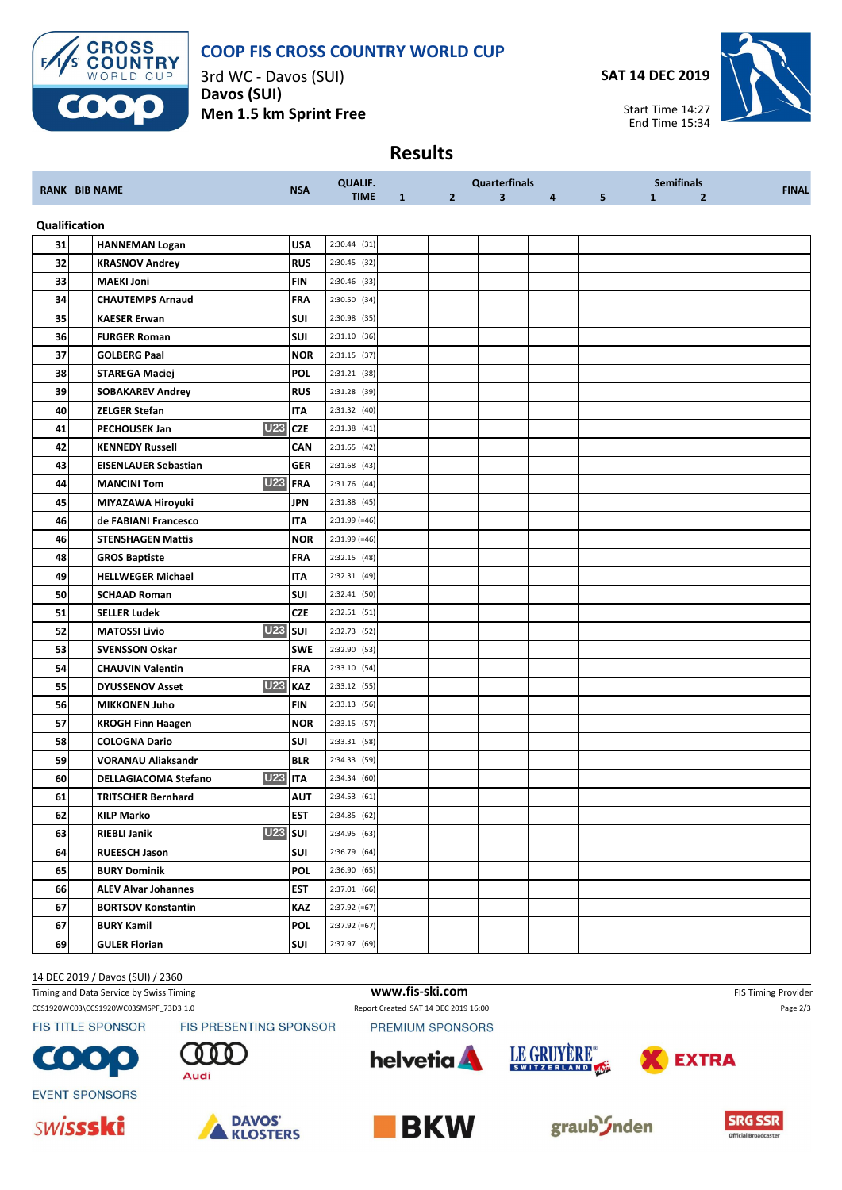

## **COOP FIS CROSS COUNTRY WORLD CUP**

3rd WC - Davos (SUI) **Davos (SUI) Men 1.5 km Sprint Free** **SAT 14 DEC 2019**



Start Time 14:27 End Time 15:34

# **Results**

|               |                                           | <b>NSA</b>  | <b>QUALIF.</b>  |              |                | Quarterfinals           |   | <b>Semifinals</b> |              |                |              |
|---------------|-------------------------------------------|-------------|-----------------|--------------|----------------|-------------------------|---|-------------------|--------------|----------------|--------------|
|               | <b>RANK BIB NAME</b>                      |             | <b>TIME</b>     | $\mathbf{1}$ | $\overline{2}$ | $\overline{\mathbf{3}}$ | 4 | 5                 | $\mathbf{1}$ | $\overline{2}$ | <b>FINAL</b> |
| Qualification |                                           |             |                 |              |                |                         |   |                   |              |                |              |
| 31            | <b>HANNEMAN Logan</b>                     | <b>USA</b>  | $2:30.44$ (31)  |              |                |                         |   |                   |              |                |              |
| 32            | <b>KRASNOV Andrey</b>                     | <b>RUS</b>  | 2:30.45 (32)    |              |                |                         |   |                   |              |                |              |
| 33            | <b>MAEKI Joni</b>                         | FIN         | 2:30.46 (33)    |              |                |                         |   |                   |              |                |              |
| 34            | <b>CHAUTEMPS Arnaud</b>                   | FRA         | 2:30.50 (34)    |              |                |                         |   |                   |              |                |              |
| 35            | <b>KAESER Erwan</b>                       | SUI         | $2:30.98$ (35)  |              |                |                         |   |                   |              |                |              |
| 36            | <b>FURGER Roman</b>                       | SUI         | 2:31.10 (36)    |              |                |                         |   |                   |              |                |              |
| 37            | <b>GOLBERG Paal</b>                       | <b>NOR</b>  | 2:31.15 (37)    |              |                |                         |   |                   |              |                |              |
| 38            | <b>STAREGA Maciej</b>                     | <b>POL</b>  | 2:31.21 (38)    |              |                |                         |   |                   |              |                |              |
| 39            | <b>SOBAKAREV Andrey</b>                   | <b>RUS</b>  | 2:31.28 (39)    |              |                |                         |   |                   |              |                |              |
| 40            | <b>ZELGER Stefan</b>                      | <b>ITA</b>  | 2:31.32 (40)    |              |                |                         |   |                   |              |                |              |
| 41            | <b>U23</b><br><b>PECHOUSEK Jan</b>        | <b>CZE</b>  | $2:31.38$ (41)  |              |                |                         |   |                   |              |                |              |
| 42            | <b>KENNEDY Russell</b>                    | CAN         | 2:31.65 (42)    |              |                |                         |   |                   |              |                |              |
| 43            | <b>EISENLAUER Sebastian</b>               | <b>GER</b>  | 2:31.68 (43)    |              |                |                         |   |                   |              |                |              |
| 44            | <b>U23</b><br><b>MANCINI Tom</b>          | <b>FRA</b>  | 2:31.76 (44)    |              |                |                         |   |                   |              |                |              |
| 45            | MIYAZAWA Hiroyuki                         | <b>JPN</b>  | 2:31.88 (45)    |              |                |                         |   |                   |              |                |              |
| 46            | de FABIANI Francesco                      | <b>ITA</b>  | $2:31.99$ (=46) |              |                |                         |   |                   |              |                |              |
| 46            | <b>STENSHAGEN Mattis</b>                  | <b>NOR</b>  | $2:31.99$ (=46) |              |                |                         |   |                   |              |                |              |
| 48            | <b>GROS Baptiste</b>                      | <b>FRA</b>  | 2:32.15 (48)    |              |                |                         |   |                   |              |                |              |
| 49            | <b>HELLWEGER Michael</b>                  | <b>ITA</b>  | 2:32.31 (49)    |              |                |                         |   |                   |              |                |              |
| 50            | <b>SCHAAD Roman</b>                       | SUI         | 2:32.41 (50)    |              |                |                         |   |                   |              |                |              |
| 51            | <b>SELLER Ludek</b>                       | <b>CZE</b>  | $2:32.51$ (51)  |              |                |                         |   |                   |              |                |              |
| 52            | <b>U23</b> SUI<br><b>MATOSSI Livio</b>    |             | 2:32.73 (52)    |              |                |                         |   |                   |              |                |              |
| 53            | <b>SVENSSON Oskar</b>                     | <b>SWE</b>  | 2:32.90 (53)    |              |                |                         |   |                   |              |                |              |
| 54            | <b>CHAUVIN Valentin</b>                   | <b>FRA</b>  | 2:33.10 (54)    |              |                |                         |   |                   |              |                |              |
| 55            | <b>U23</b><br><b>DYUSSENOV Asset</b>      | KAZ         | 2:33.12 (55)    |              |                |                         |   |                   |              |                |              |
| 56            | <b>MIKKONEN Juho</b>                      | <b>FIN</b>  | $2:33.13$ (56)  |              |                |                         |   |                   |              |                |              |
| 57            | <b>KROGH Finn Haagen</b>                  | <b>NOR</b>  | 2:33.15 (57)    |              |                |                         |   |                   |              |                |              |
| 58            | <b>COLOGNA Dario</b>                      | SUI         | 2:33.31 (58)    |              |                |                         |   |                   |              |                |              |
| 59            | <b>VORANAU Aliaksandr</b>                 | <b>BLR</b>  | 2:34.33 (59)    |              |                |                         |   |                   |              |                |              |
| 60            | <b>U23</b><br><b>DELLAGIACOMA Stefano</b> | <b>ITA</b>  | 2:34.34 (60)    |              |                |                         |   |                   |              |                |              |
| 61            | TRITSCHER Bernhard                        | <b>AUT</b>  | 2:34.53(61)     |              |                |                         |   |                   |              |                |              |
| 62            | <b>KILP Marko</b>                         | <b>IEST</b> | 2:34.85 (62)    |              |                |                         |   |                   |              |                |              |
| 63            | <b>U23 SUI</b><br><b>RIEBLI Janik</b>     |             | 2:34.95(63)     |              |                |                         |   |                   |              |                |              |
| 64            | <b>RUEESCH Jason</b>                      | SUI         | 2:36.79 (64)    |              |                |                         |   |                   |              |                |              |
| 65            | <b>BURY Dominik</b>                       | <b>POL</b>  | 2:36.90 (65)    |              |                |                         |   |                   |              |                |              |
| 66            | <b>ALEV Alvar Johannes</b>                | <b>EST</b>  | $2:37.01$ (66)  |              |                |                         |   |                   |              |                |              |
| 67            | <b>BORTSOV Konstantin</b>                 | KAZ         | 2:37.92 (=67)   |              |                |                         |   |                   |              |                |              |
| 67            | <b>BURY Kamil</b>                         | POL         | 2:37.92 (=67)   |              |                |                         |   |                   |              |                |              |
| 69            | <b>GULER Florian</b>                      | SUI         | 2:37.97 (69)    |              |                |                         |   |                   |              |                |              |

14 DEC 2019 / Davos (SUI) / 2360

Timing and Data Service by Swiss Timing **WWW.fis-Ski.com WWW.fis-Ski.com** FIS Timing Provider CCS1920WC03\CCS1920WC03SMSPF\_73D3 1.0 Report Created SAT 14 DEC 2019 16:00 Page 2/3 **FIS TITLE SPONSOR** FIS PRESENTING SPONSOR PREMIUM SPONSORS











**EVENT SPONSORS**